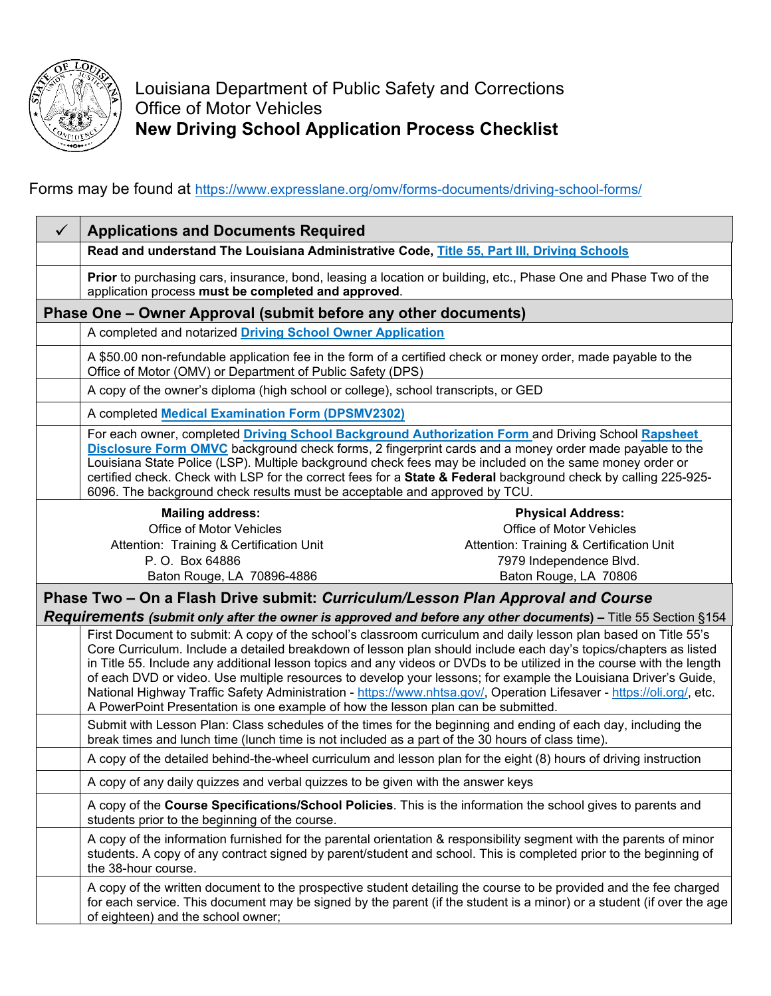

Louisiana Department of Public Safety and Corrections Office of Motor Vehicles **New Driving School Application Process Checklist**

Forms may be found at<https://www.expresslane.org/omv/forms-documents/driving-school-forms/>

| $\checkmark$                                                                                                         | <b>Applications and Documents Required</b>                                                                                                                                                                                                                                                                                                                                                                                                                                                                                                                                                                                                                                                    |                                                                                                                                                                                                                                            |
|----------------------------------------------------------------------------------------------------------------------|-----------------------------------------------------------------------------------------------------------------------------------------------------------------------------------------------------------------------------------------------------------------------------------------------------------------------------------------------------------------------------------------------------------------------------------------------------------------------------------------------------------------------------------------------------------------------------------------------------------------------------------------------------------------------------------------------|--------------------------------------------------------------------------------------------------------------------------------------------------------------------------------------------------------------------------------------------|
|                                                                                                                      | Read and understand The Louisiana Administrative Code, Title 55, Part III, Driving Schools                                                                                                                                                                                                                                                                                                                                                                                                                                                                                                                                                                                                    |                                                                                                                                                                                                                                            |
|                                                                                                                      | application process must be completed and approved.                                                                                                                                                                                                                                                                                                                                                                                                                                                                                                                                                                                                                                           | Prior to purchasing cars, insurance, bond, leasing a location or building, etc., Phase One and Phase Two of the                                                                                                                            |
| Phase One – Owner Approval (submit before any other documents)                                                       |                                                                                                                                                                                                                                                                                                                                                                                                                                                                                                                                                                                                                                                                                               |                                                                                                                                                                                                                                            |
|                                                                                                                      | A completed and notarized Driving School Owner Application                                                                                                                                                                                                                                                                                                                                                                                                                                                                                                                                                                                                                                    |                                                                                                                                                                                                                                            |
|                                                                                                                      | A \$50.00 non-refundable application fee in the form of a certified check or money order, made payable to the<br>Office of Motor (OMV) or Department of Public Safety (DPS)                                                                                                                                                                                                                                                                                                                                                                                                                                                                                                                   |                                                                                                                                                                                                                                            |
|                                                                                                                      | A copy of the owner's diploma (high school or college), school transcripts, or GED                                                                                                                                                                                                                                                                                                                                                                                                                                                                                                                                                                                                            |                                                                                                                                                                                                                                            |
|                                                                                                                      | A completed Medical Examination Form (DPSMV2302)                                                                                                                                                                                                                                                                                                                                                                                                                                                                                                                                                                                                                                              |                                                                                                                                                                                                                                            |
|                                                                                                                      | For each owner, completed Driving School Background Authorization Form and Driving School Rapsheet<br>Disclosure Form OMVC background check forms, 2 fingerprint cards and a money order made payable to the<br>Louisiana State Police (LSP). Multiple background check fees may be included on the same money order or<br>certified check. Check with LSP for the correct fees for a State & Federal background check by calling 225-925-<br>6096. The background check results must be acceptable and approved by TCU.                                                                                                                                                                      |                                                                                                                                                                                                                                            |
|                                                                                                                      | <b>Mailing address:</b>                                                                                                                                                                                                                                                                                                                                                                                                                                                                                                                                                                                                                                                                       | <b>Physical Address:</b>                                                                                                                                                                                                                   |
|                                                                                                                      | <b>Office of Motor Vehicles</b>                                                                                                                                                                                                                                                                                                                                                                                                                                                                                                                                                                                                                                                               | Office of Motor Vehicles                                                                                                                                                                                                                   |
|                                                                                                                      | Attention: Training & Certification Unit                                                                                                                                                                                                                                                                                                                                                                                                                                                                                                                                                                                                                                                      | Attention: Training & Certification Unit                                                                                                                                                                                                   |
|                                                                                                                      | P.O. Box 64886                                                                                                                                                                                                                                                                                                                                                                                                                                                                                                                                                                                                                                                                                | 7979 Independence Blvd.                                                                                                                                                                                                                    |
|                                                                                                                      | Baton Rouge, LA 70896-4886                                                                                                                                                                                                                                                                                                                                                                                                                                                                                                                                                                                                                                                                    | Baton Rouge, LA 70806                                                                                                                                                                                                                      |
| Phase Two – On a Flash Drive submit: Curriculum/Lesson Plan Approval and Course                                      |                                                                                                                                                                                                                                                                                                                                                                                                                                                                                                                                                                                                                                                                                               |                                                                                                                                                                                                                                            |
| <b>Requirements (submit only after the owner is approved and before any other documents) – Title 55 Section §154</b> |                                                                                                                                                                                                                                                                                                                                                                                                                                                                                                                                                                                                                                                                                               |                                                                                                                                                                                                                                            |
|                                                                                                                      | First Document to submit: A copy of the school's classroom curriculum and daily lesson plan based on Title 55's<br>Core Curriculum. Include a detailed breakdown of lesson plan should include each day's topics/chapters as listed<br>in Title 55. Include any additional lesson topics and any videos or DVDs to be utilized in the course with the length<br>of each DVD or video. Use multiple resources to develop your lessons; for example the Louisiana Driver's Guide,<br>National Highway Traffic Safety Administration - https://www.nhtsa.gov/, Operation Lifesaver - https://oli.org/, etc.<br>A PowerPoint Presentation is one example of how the lesson plan can be submitted. |                                                                                                                                                                                                                                            |
|                                                                                                                      | Submit with Lesson Plan: Class schedules of the times for the beginning and ending of each day, including the<br>break times and lunch time (lunch time is not included as a part of the 30 hours of class time).                                                                                                                                                                                                                                                                                                                                                                                                                                                                             |                                                                                                                                                                                                                                            |
|                                                                                                                      | A copy of the detailed behind-the-wheel curriculum and lesson plan for the eight (8) hours of driving instruction                                                                                                                                                                                                                                                                                                                                                                                                                                                                                                                                                                             |                                                                                                                                                                                                                                            |
|                                                                                                                      | A copy of any daily quizzes and verbal quizzes to be given with the answer keys                                                                                                                                                                                                                                                                                                                                                                                                                                                                                                                                                                                                               |                                                                                                                                                                                                                                            |
|                                                                                                                      | A copy of the Course Specifications/School Policies. This is the information the school gives to parents and<br>students prior to the beginning of the course.                                                                                                                                                                                                                                                                                                                                                                                                                                                                                                                                |                                                                                                                                                                                                                                            |
|                                                                                                                      | the 38-hour course.                                                                                                                                                                                                                                                                                                                                                                                                                                                                                                                                                                                                                                                                           | A copy of the information furnished for the parental orientation & responsibility segment with the parents of minor<br>students. A copy of any contract signed by parent/student and school. This is completed prior to the beginning of   |
|                                                                                                                      | of eighteen) and the school owner;                                                                                                                                                                                                                                                                                                                                                                                                                                                                                                                                                                                                                                                            | A copy of the written document to the prospective student detailing the course to be provided and the fee charged<br>for each service. This document may be signed by the parent (if the student is a minor) or a student (if over the age |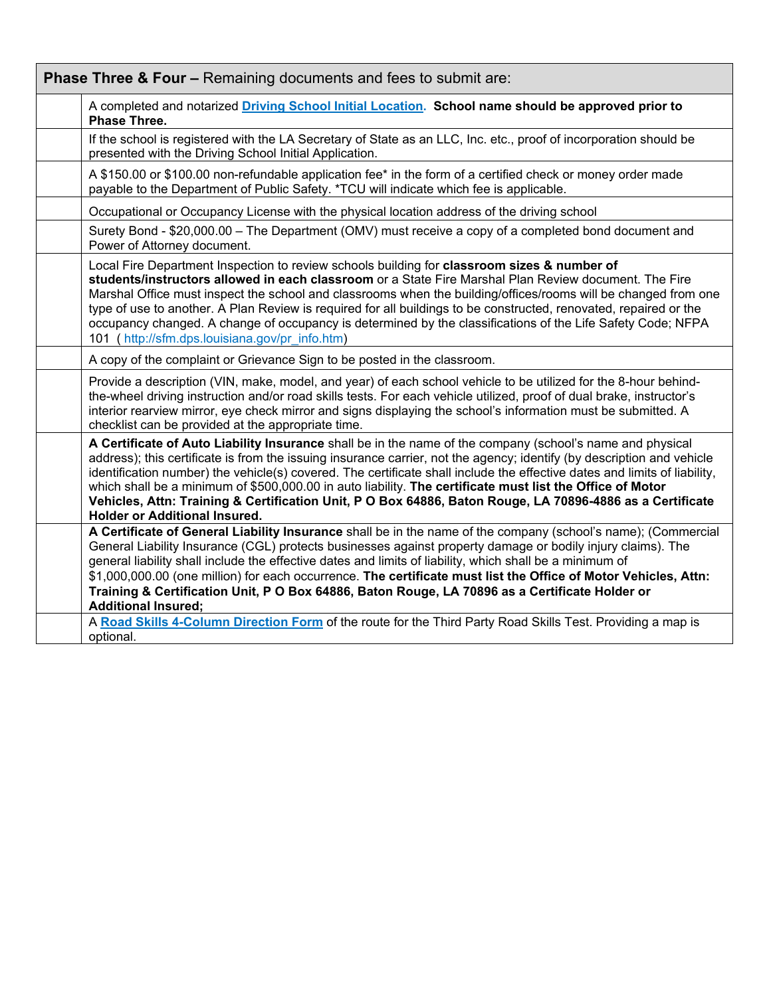| <b>Phase Three &amp; Four - Remaining documents and fees to submit are:</b>                                                                                                                                                                                                                                                                                                                                                                                                                                                                                                                                                        |  |  |
|------------------------------------------------------------------------------------------------------------------------------------------------------------------------------------------------------------------------------------------------------------------------------------------------------------------------------------------------------------------------------------------------------------------------------------------------------------------------------------------------------------------------------------------------------------------------------------------------------------------------------------|--|--|
| A completed and notarized Driving School Initial Location. School name should be approved prior to<br>Phase Three.                                                                                                                                                                                                                                                                                                                                                                                                                                                                                                                 |  |  |
| If the school is registered with the LA Secretary of State as an LLC, Inc. etc., proof of incorporation should be<br>presented with the Driving School Initial Application.                                                                                                                                                                                                                                                                                                                                                                                                                                                        |  |  |
| A \$150.00 or \$100.00 non-refundable application fee* in the form of a certified check or money order made<br>payable to the Department of Public Safety. *TCU will indicate which fee is applicable.                                                                                                                                                                                                                                                                                                                                                                                                                             |  |  |
| Occupational or Occupancy License with the physical location address of the driving school                                                                                                                                                                                                                                                                                                                                                                                                                                                                                                                                         |  |  |
| Surety Bond - \$20,000.00 - The Department (OMV) must receive a copy of a completed bond document and<br>Power of Attorney document.                                                                                                                                                                                                                                                                                                                                                                                                                                                                                               |  |  |
| Local Fire Department Inspection to review schools building for classroom sizes & number of<br>students/instructors allowed in each classroom or a State Fire Marshal Plan Review document. The Fire<br>Marshal Office must inspect the school and classrooms when the building/offices/rooms will be changed from one<br>type of use to another. A Plan Review is required for all buildings to be constructed, renovated, repaired or the<br>occupancy changed. A change of occupancy is determined by the classifications of the Life Safety Code; NFPA<br>101 (http://sfm.dps.louisiana.gov/pr info.htm)                       |  |  |
| A copy of the complaint or Grievance Sign to be posted in the classroom.                                                                                                                                                                                                                                                                                                                                                                                                                                                                                                                                                           |  |  |
| Provide a description (VIN, make, model, and year) of each school vehicle to be utilized for the 8-hour behind-<br>the-wheel driving instruction and/or road skills tests. For each vehicle utilized, proof of dual brake, instructor's<br>interior rearview mirror, eye check mirror and signs displaying the school's information must be submitted. A<br>checklist can be provided at the appropriate time.                                                                                                                                                                                                                     |  |  |
| A Certificate of Auto Liability Insurance shall be in the name of the company (school's name and physical<br>address); this certificate is from the issuing insurance carrier, not the agency; identify (by description and vehicle<br>identification number) the vehicle(s) covered. The certificate shall include the effective dates and limits of liability,<br>which shall be a minimum of \$500,000.00 in auto liability. The certificate must list the Office of Motor<br>Vehicles, Attn: Training & Certification Unit, P O Box 64886, Baton Rouge, LA 70896-4886 as a Certificate<br><b>Holder or Additional Insured.</b> |  |  |
| A Certificate of General Liability Insurance shall be in the name of the company (school's name); (Commercial<br>General Liability Insurance (CGL) protects businesses against property damage or bodily injury claims). The<br>general liability shall include the effective dates and limits of liability, which shall be a minimum of<br>\$1,000,000.00 (one million) for each occurrence. The certificate must list the Office of Motor Vehicles, Attn:<br>Training & Certification Unit, P O Box 64886, Baton Rouge, LA 70896 as a Certificate Holder or<br><b>Additional Insured;</b>                                        |  |  |
| A Road Skills 4-Column Direction Form of the route for the Third Party Road Skills Test. Providing a map is<br>optional.                                                                                                                                                                                                                                                                                                                                                                                                                                                                                                           |  |  |